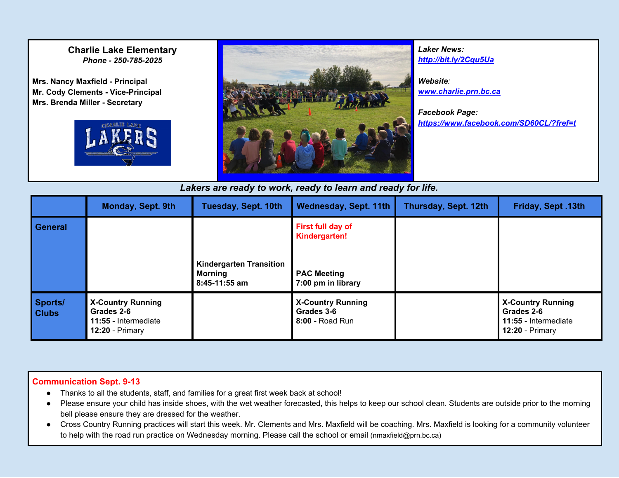### **Charlie Lake Elementary** *Phone - 250-785-2025*

**Mrs. Nancy Maxfield - Principal Mr. Cody Clements - Vice-Principal Mrs. Brenda Miller - Secretary**





*Laker News: <http://bit.ly/2Cqu5Ua>*

*Website: [www.charlie.prn.bc.ca](http://www.charlie.prn.bc.ca/)*

*Facebook Page: [https://www.facebook.com/SD60CL/?fref=t](https://www.facebook.com/SD60CL/?fref=ts)*

*Lakers are ready to work, ready to learn and ready for life.*

|                         | Monday, Sept. 9th                                                                   | <b>Tuesday, Sept. 10th</b>                                        | <b>Wednesday, Sept. 11th</b>                                                   | Thursday, Sept. 12th | Friday, Sept. 13th                                                                  |
|-------------------------|-------------------------------------------------------------------------------------|-------------------------------------------------------------------|--------------------------------------------------------------------------------|----------------------|-------------------------------------------------------------------------------------|
| <b>General</b>          |                                                                                     | <b>Kindergarten Transition</b><br><b>Morning</b><br>8:45-11:55 am | First full day of<br>Kindergarten!<br><b>PAC Meeting</b><br>7:00 pm in library |                      |                                                                                     |
| Sports/<br><b>Clubs</b> | <b>X-Country Running</b><br>Grades 2-6<br>11:55 - Intermediate<br>$12:20$ - Primary |                                                                   | <b>X-Country Running</b><br>Grades 3-6<br>8:00 - Road Run                      |                      | <b>X-Country Running</b><br>Grades 2-6<br>11:55 - Intermediate<br>$12:20$ - Primary |

#### **Communication Sept. 9-13**

- Thanks to all the students, staff, and families for a great first week back at school!
- Please ensure your child has inside shoes, with the wet weather forecasted, this helps to keep our school clean. Students are outside prior to the morning bell please ensure they are dressed for the weather.
- Cross Country Running practices will start this week. Mr. Clements and Mrs. Maxfield will be coaching. Mrs. Maxfield is looking for a community volunteer to help with the road run practice on Wednesday morning. Please call the school or email (nmaxfield@prn.bc.ca)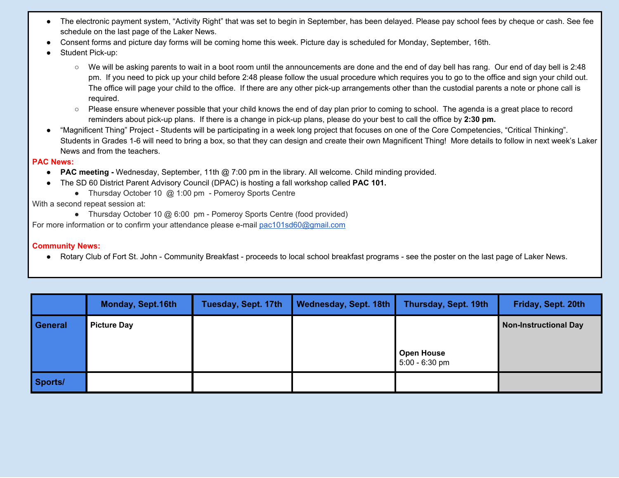- The electronic payment system, "Activity Right" that was set to begin in September, has been delayed. Please pay school fees by cheque or cash. See fee schedule on the last page of the Laker News.
- Consent forms and picture day forms will be coming home this week. Picture day is scheduled for Monday, September, 16th.
- Student Pick-up:
	- We will be asking parents to wait in a boot room until the announcements are done and the end of day bell has rang. Our end of day bell is 2:48 pm. If you need to pick up your child before 2:48 please follow the usual procedure which requires you to go to the office and sign your child out. The office will page your child to the office. If there are any other pick-up arrangements other than the custodial parents a note or phone call is required.
	- Please ensure whenever possible that your child knows the end of day plan prior to coming to school. The agenda is a great place to record reminders about pick-up plans. If there is a change in pick-up plans, please do your best to call the office by **2:30 pm.**
- **●** "Magnificent Thing" Project Students will be participating in a week long project that focuses on one of the Core Competencies, "Critical Thinking". Students in Grades 1-6 will need to bring a box, so that they can design and create their own Magnificent Thing! More details to follow in next week's Laker News and from the teachers.

#### **PAC News:**

- **● PAC meeting -** Wednesday, September, 11th @ 7:00 pm in the library. All welcome. Child minding provided.
- The SD 60 District Parent Advisory Council (DPAC) is hosting a fall workshop called **PAC 101.**
	- Thursday October 10 @ 1:00 pm Pomeroy Sports Centre

#### With a second repeat session at:

● Thursday October 10 @ 6:00 pm - Pomeroy Sports Centre (food provided)

For more information or to confirm your attendance please e-mail [pac101sd60@gmail.com](mailto:pac101sd60@gmail.com)

#### **Community News:**

● Rotary Club of Fort St. John - Community Breakfast - proceeds to local school breakfast programs - see the poster on the last page of Laker News.

|                | <b>Monday, Sept.16th</b> | Tuesday, Sept. 17th | Wednesday, Sept. 18th | Thursday, Sept. 19th                | Friday, Sept. 20th           |
|----------------|--------------------------|---------------------|-----------------------|-------------------------------------|------------------------------|
| <b>General</b> | <b>Picture Day</b>       |                     |                       | <b>Open House</b><br>5:00 - 6:30 pm | <b>Non-Instructional Day</b> |
| Sports/        |                          |                     |                       |                                     |                              |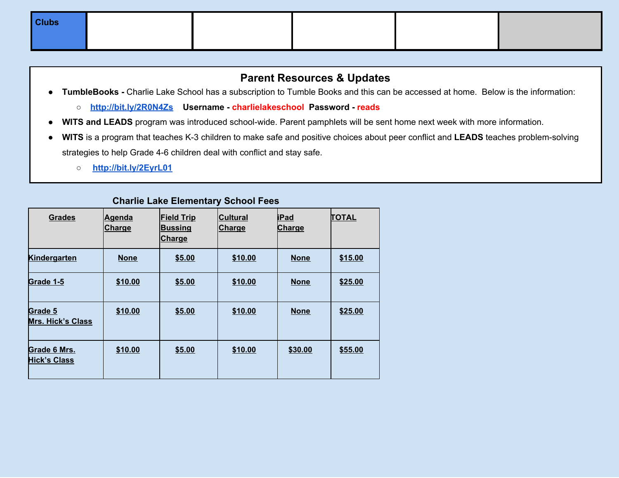| <b>Clubs</b> |  |  |  |
|--------------|--|--|--|
|              |  |  |  |

## **Parent Resources & Updates**

- **TumbleBooks -** Charlie Lake School has a subscription to Tumble Books and this can be accessed at home. Below is the information:
	- **<http://bit.ly/2R0N4Zs> Username - charlielakeschool Password - reads**
- **WITS and LEADS** program was introduced school-wide. Parent pamphlets will be sent home next week with more information.
- **● WITS** is a program that teaches K-3 children to make safe and positive choices about peer conflict and **LEADS** teaches problem-solving strategies to help Grade 4-6 children deal with conflict and stay safe.
	- **○ <http://bit.ly/2EyrL01>**

### **Charlie Lake Elementary School Fees**

| <b>Grades</b>                       | <b>Agenda</b><br><b>Charge</b> | <b>Field Trip</b><br><b>Bussing</b><br><b>Charge</b> | <b>Cultural</b><br><b>Charge</b> | <b>iPad</b><br><b>Charge</b> | <b>TOTAL</b> |
|-------------------------------------|--------------------------------|------------------------------------------------------|----------------------------------|------------------------------|--------------|
| <b>Kindergarten</b>                 | <b>None</b>                    | \$5.00                                               | \$10.00                          | <b>None</b>                  | \$15.00      |
| Grade 1-5                           | \$10.00                        | \$5.00                                               | \$10.00                          | <b>None</b>                  | \$25.00      |
| Grade 5<br>Mrs. Hick's Class        | \$10.00                        | \$5.00                                               | \$10.00                          | <b>None</b>                  | \$25.00      |
| Grade 6 Mrs.<br><b>Hick's Class</b> | \$10.00                        | \$5.00                                               | \$10.00                          | \$30.00                      | \$55.00      |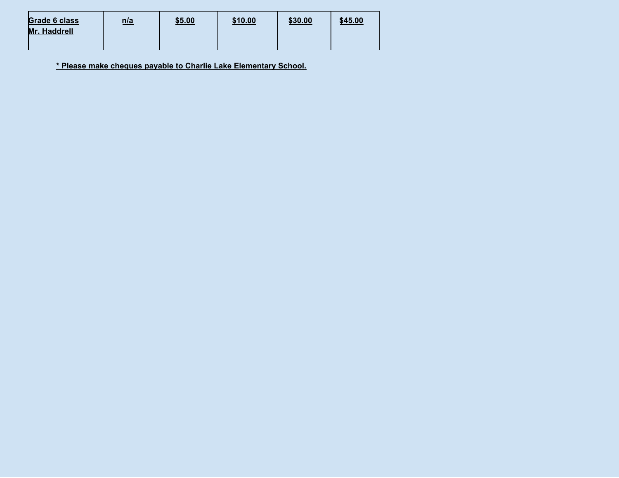| <b>Grade 6 class</b> | n/a | \$5.00 | \$10.00 | \$30.00 | \$45.00 |
|----------------------|-----|--------|---------|---------|---------|
| <b>Mr. Haddrell</b>  |     |        |         |         |         |
|                      |     |        |         |         |         |

**\* Please make cheques payable to Charlie Lake Elementary School.**